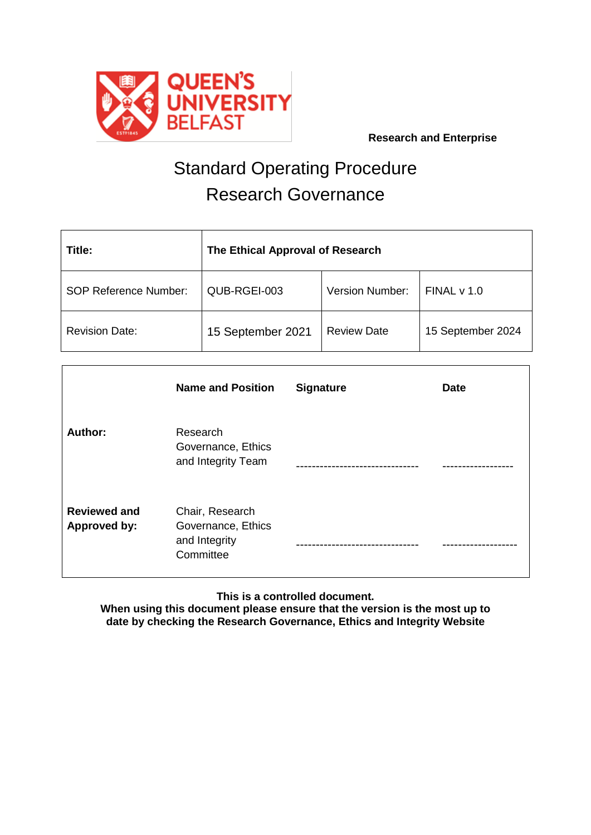

 **Research and Enterprise**

# Standard Operating Procedure Research Governance

| Title:                       | The Ethical Approval of Research |                        |                   |  |
|------------------------------|----------------------------------|------------------------|-------------------|--|
| <b>SOP Reference Number:</b> | QUB-RGEI-003                     | <b>Version Number:</b> | FINALV 1.0        |  |
| <b>Revision Date:</b>        | 15 September 2021                | <b>Review Date</b>     | 15 September 2024 |  |

|                                            | <b>Name and Position</b>                                            | <b>Signature</b> | <b>Date</b> |
|--------------------------------------------|---------------------------------------------------------------------|------------------|-------------|
| <b>Author:</b>                             | Research<br>Governance, Ethics<br>and Integrity Team                |                  |             |
| <b>Reviewed and</b><br><b>Approved by:</b> | Chair, Research<br>Governance, Ethics<br>and Integrity<br>Committee |                  |             |

## **This is a controlled document.**

**When using this document please ensure that the version is the most up to date by checking the Research Governance, Ethics and Integrity Website**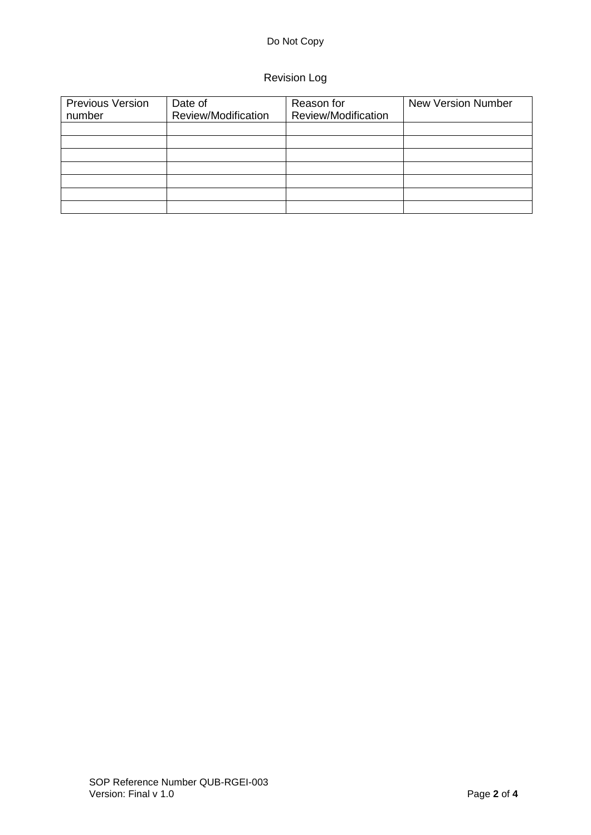### Do Not Copy

## Revision Log

| <b>Previous Version</b><br>number | Date of<br>Review/Modification | Reason for<br>Review/Modification | <b>New Version Number</b> |
|-----------------------------------|--------------------------------|-----------------------------------|---------------------------|
|                                   |                                |                                   |                           |
|                                   |                                |                                   |                           |
|                                   |                                |                                   |                           |
|                                   |                                |                                   |                           |
|                                   |                                |                                   |                           |
|                                   |                                |                                   |                           |
|                                   |                                |                                   |                           |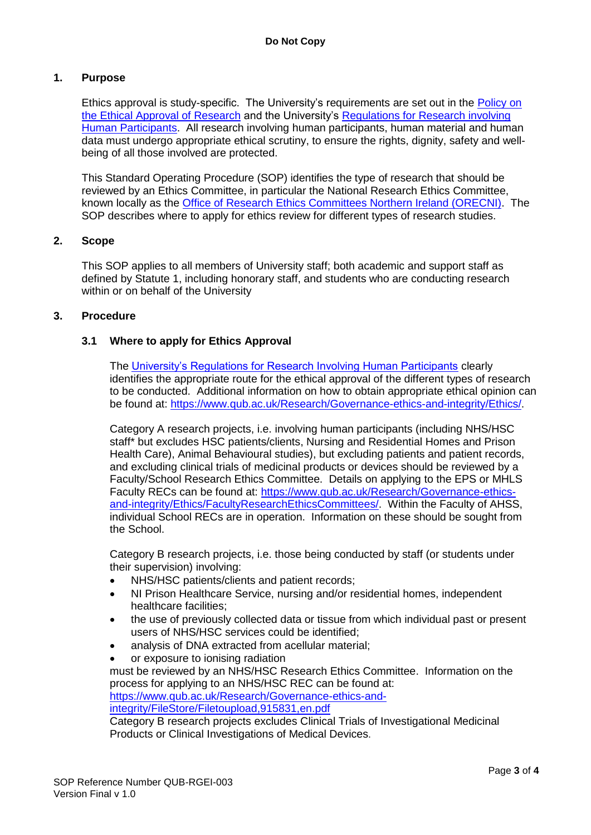#### **1. Purpose**

Ethics approval is study-specific. The University's requirements are set out in the [Policy on](https://www.qub.ac.uk/Research/Governance-ethics-and-integrity/Policies-procedures-and-guidelines/)  [the Ethical Approval of Research](https://www.qub.ac.uk/Research/Governance-ethics-and-integrity/Policies-procedures-and-guidelines/) and the University's [Regulations for Research involving](http://www.qub.ac.uk/Research/Governance-ethics-and-integrity/Policies-procedures-and-guidelines/)  [Human Participants.](http://www.qub.ac.uk/Research/Governance-ethics-and-integrity/Policies-procedures-and-guidelines/) All research involving human participants, human material and human data must undergo appropriate ethical scrutiny, to ensure the rights, dignity, safety and wellbeing of all those involved are protected.

This Standard Operating Procedure (SOP) identifies the type of research that should be reviewed by an Ethics Committee, in particular the National Research Ethics Committee, known locally as the [Office of Research Ethics Committees Northern Ireland \(ORECNI\).](http://www.hscbusiness.hscni.net/orecni.htm) The SOP describes where to apply for ethics review for different types of research studies.

#### **2. Scope**

This SOP applies to all members of University staff; both academic and support staff as defined by Statute 1, including honorary staff, and students who are conducting research within or on behalf of the University

#### **3. Procedure**

#### **3.1 Where to apply for Ethics Approval**

The [University's Regulations for Research Involving Human Participants](http://www.qub.ac.uk/Research/Governance-ethics-and-integrity/Policies-procedures-and-guidelines/) clearly identifies the appropriate route for the ethical approval of the different types of research to be conducted. Additional information on how to obtain appropriate ethical opinion can be found at: [https://www.qub.ac.uk/Research/Governance-ethics-and-integrity/Ethics/.](https://www.qub.ac.uk/Research/Governance-ethics-and-integrity/Ethics/)

Category A research projects, i.e. involving human participants (including NHS/HSC staff\* but excludes HSC patients/clients, Nursing and Residential Homes and Prison Health Care), Animal Behavioural studies), but excluding patients and patient records, and excluding clinical trials of medicinal products or devices should be reviewed by a Faculty/School Research Ethics Committee. Details on applying to the EPS or MHLS Faculty RECs can be found at: [https://www.qub.ac.uk/Research/Governance-ethics](https://www.qub.ac.uk/Research/Governance-ethics-and-integrity/Ethics/FacultyResearchEthicsCommittees/)[and-integrity/Ethics/FacultyResearchEthicsCommittees/.](https://www.qub.ac.uk/Research/Governance-ethics-and-integrity/Ethics/FacultyResearchEthicsCommittees/) Within the Faculty of AHSS, individual School RECs are in operation. Information on these should be sought from the School.

Category B research projects, i.e. those being conducted by staff (or students under their supervision) involving:

- NHS/HSC patients/clients and patient records;
- NI Prison Healthcare Service, nursing and/or residential homes, independent healthcare facilities;
- the use of previously collected data or tissue from which individual past or present users of NHS/HSC services could be identified;
- analysis of DNA extracted from acellular material;
- or exposure to ionising radiation

must be reviewed by an NHS/HSC Research Ethics Committee. Information on the process for applying to an NHS/HSC REC can be found at:

[https://www.qub.ac.uk/Research/Governance-ethics-and](https://www.qub.ac.uk/Research/Governance-ethics-and-integrity/FileStore/Filetoupload,915831,en.pdf)[integrity/FileStore/Filetoupload,915831,en.pdf](https://www.qub.ac.uk/Research/Governance-ethics-and-integrity/FileStore/Filetoupload,915831,en.pdf)

Category B research projects excludes Clinical Trials of Investigational Medicinal Products or Clinical Investigations of Medical Devices.